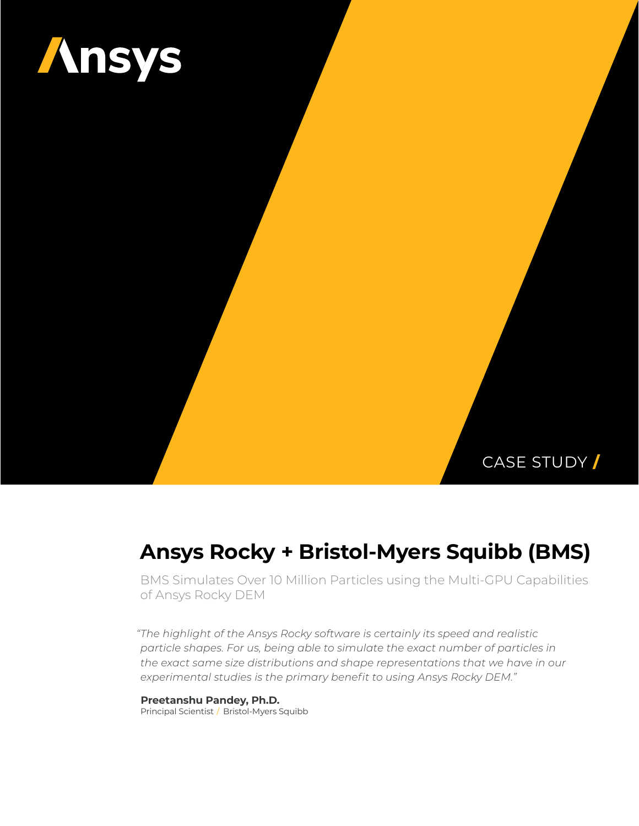

## CASE STUDY **/**

# **Ansys Rocky + Bristol-Myers Squibb (BMS)**

BMS Simulates Over 10 Million Particles using the Multi-GPU Capabilities of Ansys Rocky DEM

*"The highlight of the Ansys Rocky software is certainly its speed and realistic particle shapes. For us, being able to simulate the exact number of particles in the exact same size distributions and shape representations that we have in our experimental studies is the primary benefit to using Ansys Rocky DEM."*

**Preetanshu Pandey, Ph.D.** Principal Scientist / Bristol-Myers Squibb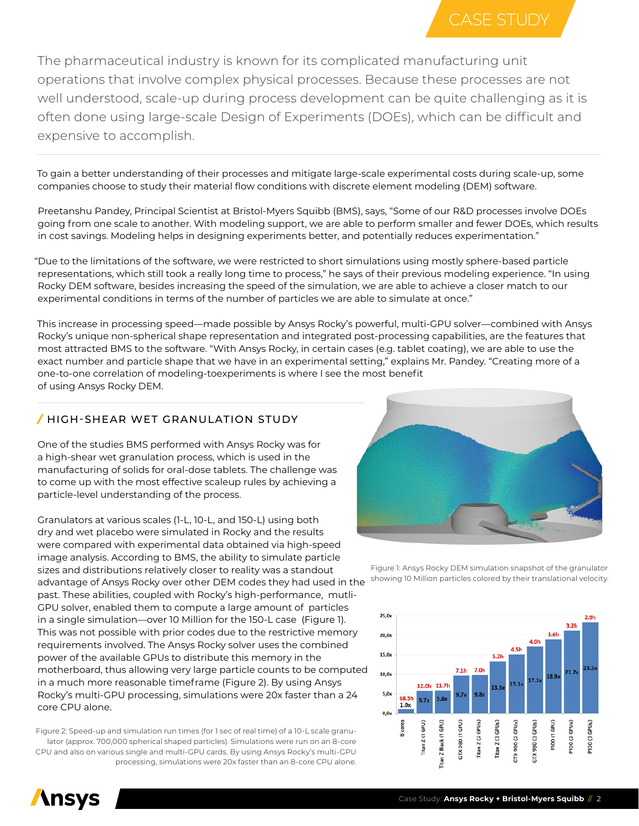

The pharmaceutical industry is known for its complicated manufacturing unit operations that involve complex physical processes. Because these processes are not well understood, scale-up during process development can be quite challenging as it is often done using large-scale Design of Experiments (DOEs), which can be difficult and expensive to accomplish.

To gain a better understanding of their processes and mitigate large-scale experimental costs during scale-up, some companies choose to study their material flow conditions with discrete element modeling (DEM) software.

Preetanshu Pandey, Principal Scientist at Bristol-Myers Squibb (BMS), says, "Some of our R&D processes involve DOEs going from one scale to another. With modeling support, we are able to perform smaller and fewer DOEs, which results in cost savings. Modeling helps in designing experiments better, and potentially reduces experimentation."

"Due to the limitations of the software, we were restricted to short simulations using mostly sphere-based particle representations, which still took a really long time to process," he says of their previous modeling experience. "In using Rocky DEM software, besides increasing the speed of the simulation, we are able to achieve a closer match to our experimental conditions in terms of the number of particles we are able to simulate at once."

This increase in processing speed—made possible by Ansys Rocky's powerful, multi-GPU solver—combined with Ansys Rocky's unique non-spherical shape representation and integrated post-processing capabilities, are the features that most attracted BMS to the software. "With Ansys Rocky, in certain cases (e.g. tablet coating), we are able to use the exact number and particle shape that we have in an experimental setting," explains Mr. Pandey. "Creating more of a one-to-one correlation of modeling-toexperiments is where I see the most benefit of using Ansys Rocky DEM.

#### */* HIGH-SHEAR WET GRANULATION STUDY

One of the studies BMS performed with Ansys Rocky was for a high-shear wet granulation process, which is used in the manufacturing of solids for oral-dose tablets. The challenge was to come up with the most effective scaleup rules by achieving a particle-level understanding of the process.

Granulators at various scales (1-L, 10-L, and 150-L) using both dry and wet placebo were simulated in Rocky and the results were compared with experimental data obtained via high-speed image analysis. According to BMS, the ability to simulate particle sizes and distributions relatively closer to reality was a standout advantage of Ansys Rocky over other DEM codes they had used in the past. These abilities, coupled with Rocky's high-performance, mutli-GPU solver, enabled them to compute a large amount of particles in a single simulation—over 10 Million for the 150-L case (Figure 1). This was not possible with prior codes due to the restrictive memory requirements involved. The Ansys Rocky solver uses the combined power of the available GPUs to distribute this memory in the motherboard, thus allowing very large particle counts to be computed in a much more reasonable timeframe (Figure 2). By using Ansys Rocky's multi-GPU processing, simulations were 20x faster than a 24 core CPU alone.

Figure 2: Speed-up and simulation run times (for 1 sec of real time) of a 10-L scale granulator (approx. 700,000 spherical shaped particles). Simulations were run on an 8-core CPU and also on various single and multi-GPU cards. By using Ansys Rocky's multi-GPU processing, simulations were 20x faster than an 8-core CPU alone.